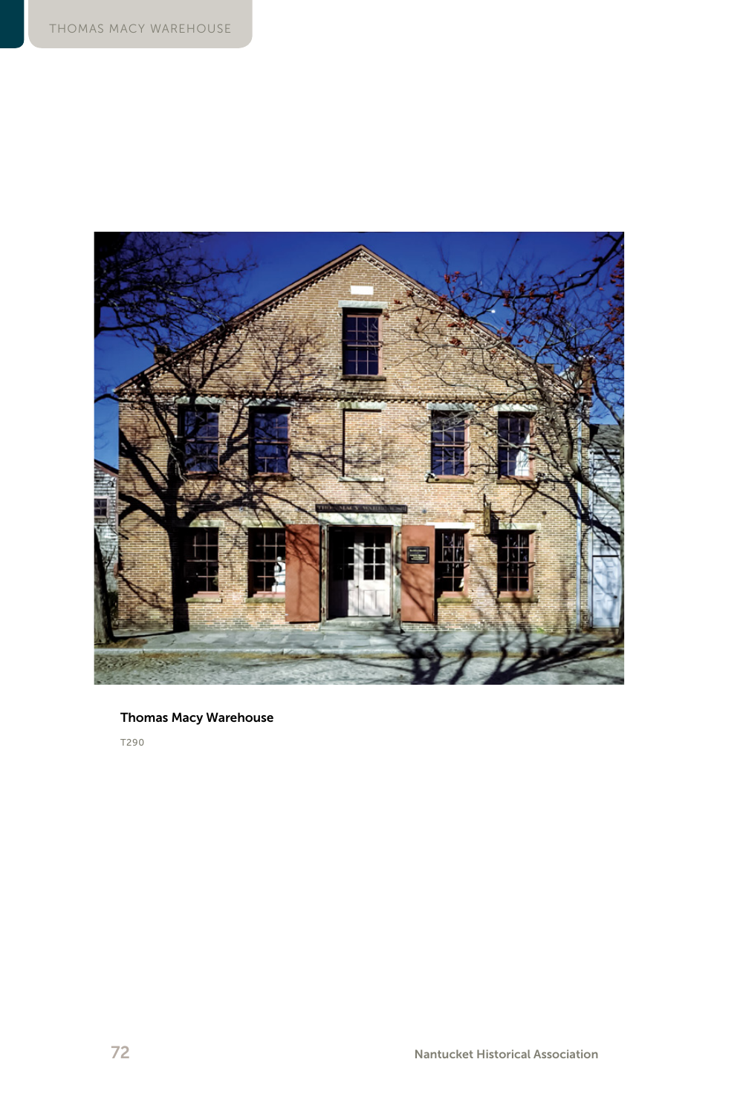

### Thomas Macy Warehouse

T290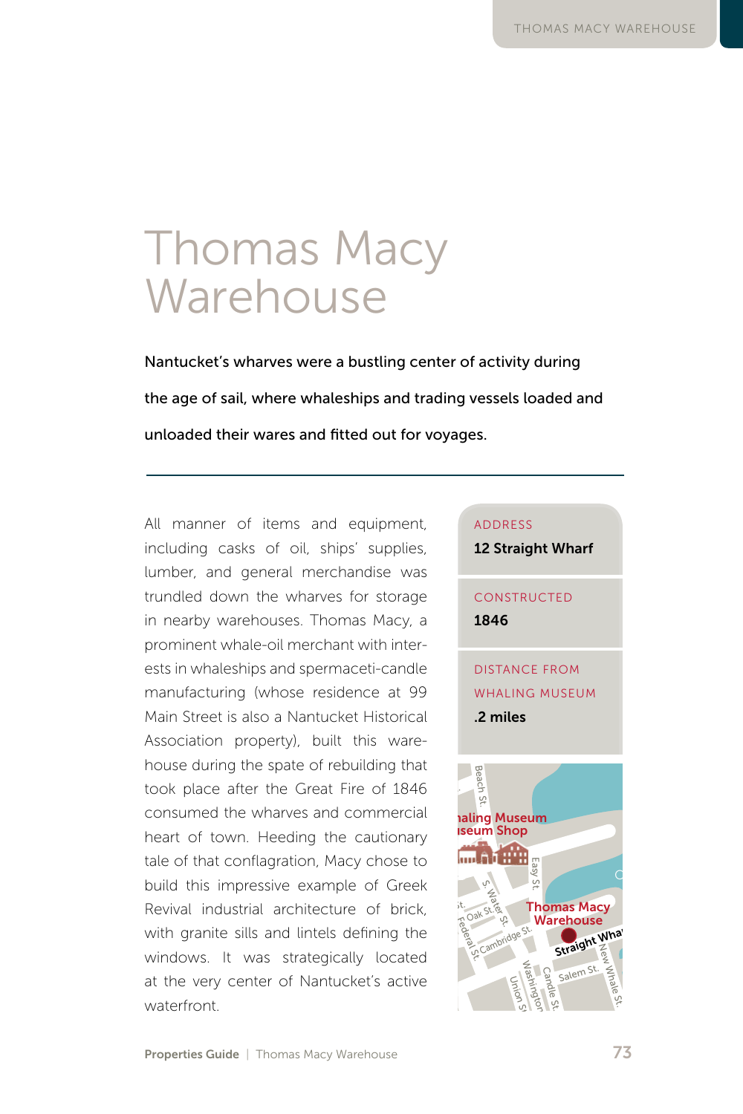# Thomas Macy Warehouse

Nantucket's wharves were a bustling center of activity during the age of sail, where whaleships and trading vessels loaded and unloaded their wares and fitted out for voyages.

All manner of items and equipment, including casks of oil, ships' supplies, lumber, and general merchandise was trundled down the wharves for storage in nearby warehouses. Thomas Macy, a prominent whale-oil merchant with interprominent whale-oil merchant with inter-<br>ests in whaleships and spermaceti-candle<br>N. Beach St. Cornish St. 200 manufacturing (whose residence at 99 Main Street is also a Nantucket Historical Main Street is also a Nantucket Historical<br>Association property), built this ware-<br>house during the spate of robuilding that Association property), built this ware-<br>house during the spate of rebuilding that house during the spate of rebuilding that<br>took place after the Great Fire of 1846 consumed the wharves and commercial heart of town. Heeding the cautionary<br>tale of that conflagration. Macy chose to heart of town. Heeding the cautionary<br>tale of that conflagration, Macy chose to<br>huild this impressive example of Creek build this impressive example of Greek Revival industrial architecture of brick, with granite sills and lintels defining the with granite sills and lintels defining the<br>windows. It was strategically located at the very center of Nantucket's active waterfront. ds<br>:er active<br> $\overline{a}$ n,<br>xa<br>te Ash Ln. onar CLIFF RD. BIKE PATH renouses. Thor

#### ADDRESS

12 Straight Wharf

## **CONSTRUCTED** 1846

**MISTANCE FROM** WHALING MUSEUM .2 miles Easton Street Swain St.

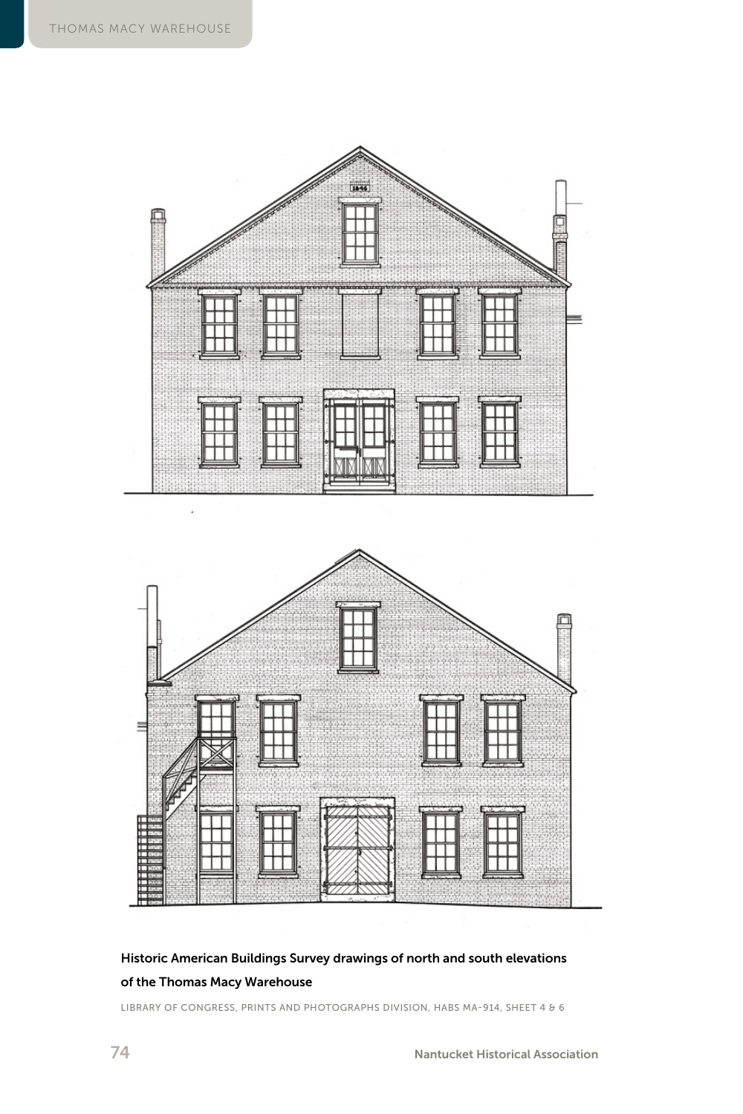

## Historic American Buildings Survey drawings of north and south elevations of the Thomas Macy Warehouse

LIBRARY OF CONGRESS, PRINTS AND PHOTOGRAPHS DIVISION, HABS MA-914, SHEET 4 & 6